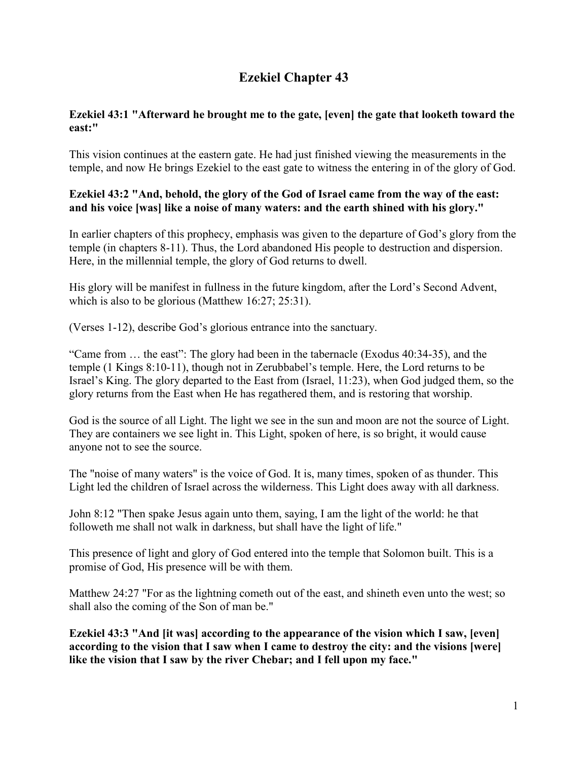# **Ezekiel Chapter 43**

## **Ezekiel 43:1 "Afterward he brought me to the gate, [even] the gate that looketh toward the east:"**

This vision continues at the eastern gate. He had just finished viewing the measurements in the temple, and now He brings Ezekiel to the east gate to witness the entering in of the glory of God.

# **Ezekiel 43:2 "And, behold, the glory of the God of Israel came from the way of the east: and his voice [was] like a noise of many waters: and the earth shined with his glory."**

In earlier chapters of this prophecy, emphasis was given to the departure of God's glory from the temple (in chapters 8-11). Thus, the Lord abandoned His people to destruction and dispersion. Here, in the millennial temple, the glory of God returns to dwell.

His glory will be manifest in fullness in the future kingdom, after the Lord's Second Advent, which is also to be glorious (Matthew 16:27; 25:31).

(Verses 1-12), describe God's glorious entrance into the sanctuary.

"Came from … the east": The glory had been in the tabernacle (Exodus 40:34-35), and the temple (1 Kings 8:10-11), though not in Zerubbabel's temple. Here, the Lord returns to be Israel's King. The glory departed to the East from (Israel, 11:23), when God judged them, so the glory returns from the East when He has regathered them, and is restoring that worship.

God is the source of all Light. The light we see in the sun and moon are not the source of Light. They are containers we see light in. This Light, spoken of here, is so bright, it would cause anyone not to see the source.

The "noise of many waters" is the voice of God. It is, many times, spoken of as thunder. This Light led the children of Israel across the wilderness. This Light does away with all darkness.

John 8:12 "Then spake Jesus again unto them, saying, I am the light of the world: he that followeth me shall not walk in darkness, but shall have the light of life."

This presence of light and glory of God entered into the temple that Solomon built. This is a promise of God, His presence will be with them.

Matthew 24:27 "For as the lightning cometh out of the east, and shineth even unto the west; so shall also the coming of the Son of man be."

**Ezekiel 43:3 "And [it was] according to the appearance of the vision which I saw, [even] according to the vision that I saw when I came to destroy the city: and the visions [were] like the vision that I saw by the river Chebar; and I fell upon my face."**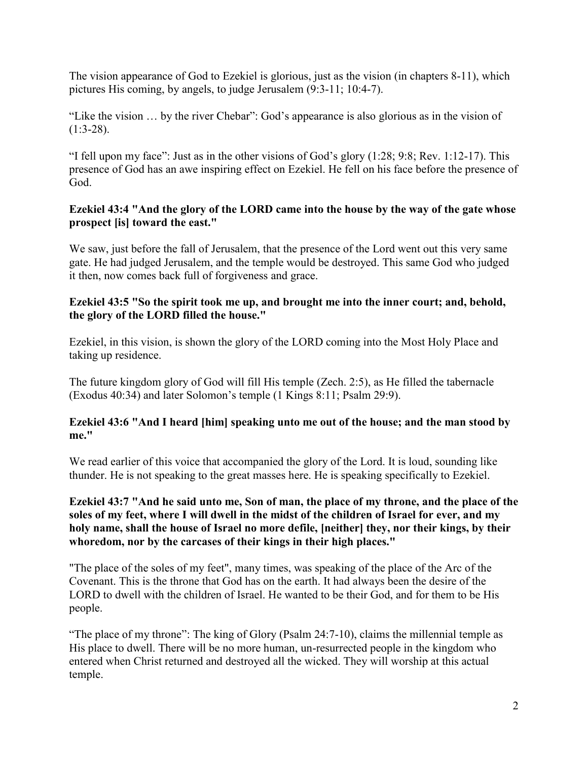The vision appearance of God to Ezekiel is glorious, just as the vision (in chapters 8-11), which pictures His coming, by angels, to judge Jerusalem (9:3-11; 10:4-7).

"Like the vision … by the river Chebar": God's appearance is also glorious as in the vision of  $(1:3-28)$ .

"I fell upon my face": Just as in the other visions of God's glory (1:28; 9:8; Rev. 1:12-17). This presence of God has an awe inspiring effect on Ezekiel. He fell on his face before the presence of God.

#### **Ezekiel 43:4 "And the glory of the LORD came into the house by the way of the gate whose prospect [is] toward the east."**

We saw, just before the fall of Jerusalem, that the presence of the Lord went out this very same gate. He had judged Jerusalem, and the temple would be destroyed. This same God who judged it then, now comes back full of forgiveness and grace.

#### **Ezekiel 43:5 "So the spirit took me up, and brought me into the inner court; and, behold, the glory of the LORD filled the house."**

Ezekiel, in this vision, is shown the glory of the LORD coming into the Most Holy Place and taking up residence.

The future kingdom glory of God will fill His temple (Zech. 2:5), as He filled the tabernacle (Exodus 40:34) and later Solomon's temple (1 Kings 8:11; Psalm 29:9).

## **Ezekiel 43:6 "And I heard [him] speaking unto me out of the house; and the man stood by me."**

We read earlier of this voice that accompanied the glory of the Lord. It is loud, sounding like thunder. He is not speaking to the great masses here. He is speaking specifically to Ezekiel.

## **Ezekiel 43:7 "And he said unto me, Son of man, the place of my throne, and the place of the soles of my feet, where I will dwell in the midst of the children of Israel for ever, and my holy name, shall the house of Israel no more defile, [neither] they, nor their kings, by their whoredom, nor by the carcases of their kings in their high places."**

"The place of the soles of my feet", many times, was speaking of the place of the Arc of the Covenant. This is the throne that God has on the earth. It had always been the desire of the LORD to dwell with the children of Israel. He wanted to be their God, and for them to be His people.

"The place of my throne": The king of Glory (Psalm 24:7-10), claims the millennial temple as His place to dwell. There will be no more human, un-resurrected people in the kingdom who entered when Christ returned and destroyed all the wicked. They will worship at this actual temple.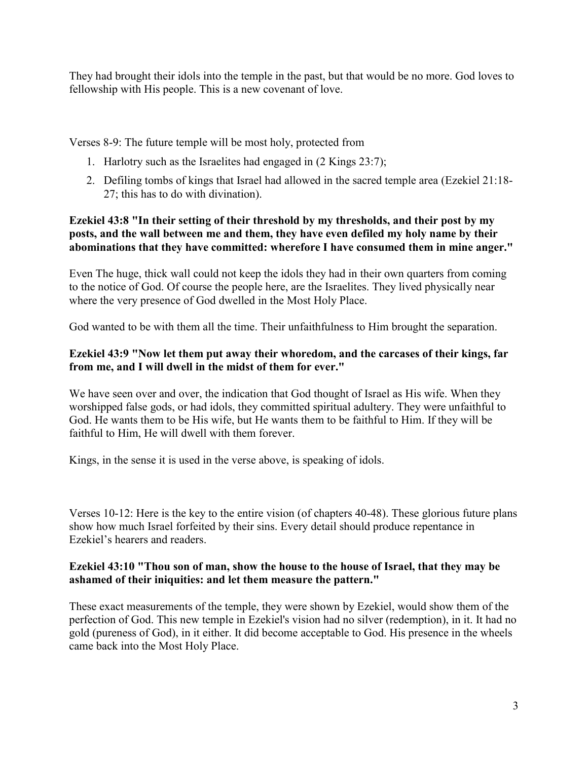They had brought their idols into the temple in the past, but that would be no more. God loves to fellowship with His people. This is a new covenant of love.

Verses 8-9: The future temple will be most holy, protected from

- 1. Harlotry such as the Israelites had engaged in (2 Kings 23:7);
- 2. Defiling tombs of kings that Israel had allowed in the sacred temple area (Ezekiel 21:18- 27; this has to do with divination).

# **Ezekiel 43:8 "In their setting of their threshold by my thresholds, and their post by my posts, and the wall between me and them, they have even defiled my holy name by their abominations that they have committed: wherefore I have consumed them in mine anger."**

Even The huge, thick wall could not keep the idols they had in their own quarters from coming to the notice of God. Of course the people here, are the Israelites. They lived physically near where the very presence of God dwelled in the Most Holy Place.

God wanted to be with them all the time. Their unfaithfulness to Him brought the separation.

# **Ezekiel 43:9 "Now let them put away their whoredom, and the carcases of their kings, far from me, and I will dwell in the midst of them for ever."**

We have seen over and over, the indication that God thought of Israel as His wife. When they worshipped false gods, or had idols, they committed spiritual adultery. They were unfaithful to God. He wants them to be His wife, but He wants them to be faithful to Him. If they will be faithful to Him, He will dwell with them forever.

Kings, in the sense it is used in the verse above, is speaking of idols.

Verses 10-12: Here is the key to the entire vision (of chapters 40-48). These glorious future plans show how much Israel forfeited by their sins. Every detail should produce repentance in Ezekiel's hearers and readers.

# **Ezekiel 43:10 "Thou son of man, show the house to the house of Israel, that they may be ashamed of their iniquities: and let them measure the pattern."**

These exact measurements of the temple, they were shown by Ezekiel, would show them of the perfection of God. This new temple in Ezekiel's vision had no silver (redemption), in it. It had no gold (pureness of God), in it either. It did become acceptable to God. His presence in the wheels came back into the Most Holy Place.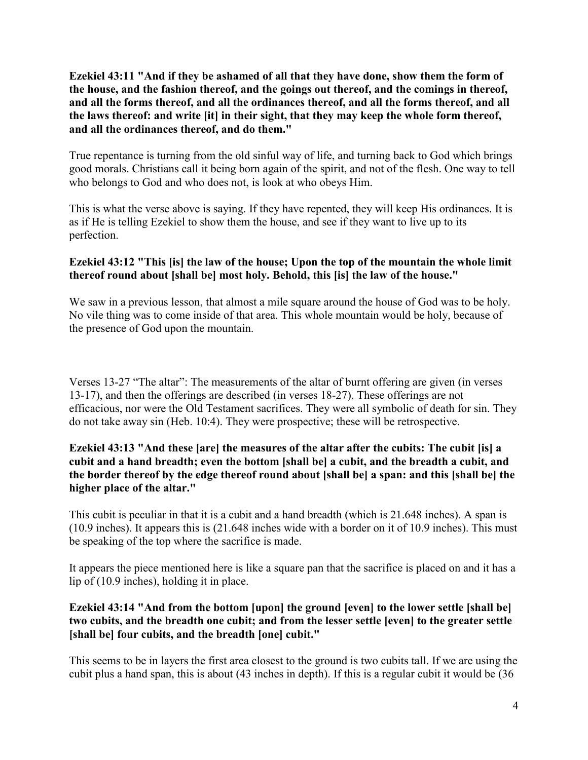**Ezekiel 43:11 "And if they be ashamed of all that they have done, show them the form of the house, and the fashion thereof, and the goings out thereof, and the comings in thereof, and all the forms thereof, and all the ordinances thereof, and all the forms thereof, and all the laws thereof: and write [it] in their sight, that they may keep the whole form thereof, and all the ordinances thereof, and do them."**

True repentance is turning from the old sinful way of life, and turning back to God which brings good morals. Christians call it being born again of the spirit, and not of the flesh. One way to tell who belongs to God and who does not, is look at who obeys Him.

This is what the verse above is saying. If they have repented, they will keep His ordinances. It is as if He is telling Ezekiel to show them the house, and see if they want to live up to its perfection.

# **Ezekiel 43:12 "This [is] the law of the house; Upon the top of the mountain the whole limit thereof round about [shall be] most holy. Behold, this [is] the law of the house."**

We saw in a previous lesson, that almost a mile square around the house of God was to be holy. No vile thing was to come inside of that area. This whole mountain would be holy, because of the presence of God upon the mountain.

Verses 13-27 "The altar": The measurements of the altar of burnt offering are given (in verses 13-17), and then the offerings are described (in verses 18-27). These offerings are not efficacious, nor were the Old Testament sacrifices. They were all symbolic of death for sin. They do not take away sin (Heb. 10:4). They were prospective; these will be retrospective.

# **Ezekiel 43:13 "And these [are] the measures of the altar after the cubits: The cubit [is] a cubit and a hand breadth; even the bottom [shall be] a cubit, and the breadth a cubit, and the border thereof by the edge thereof round about [shall be] a span: and this [shall be] the higher place of the altar."**

This cubit is peculiar in that it is a cubit and a hand breadth (which is 21.648 inches). A span is (10.9 inches). It appears this is (21.648 inches wide with a border on it of 10.9 inches). This must be speaking of the top where the sacrifice is made.

It appears the piece mentioned here is like a square pan that the sacrifice is placed on and it has a lip of (10.9 inches), holding it in place.

## **Ezekiel 43:14 "And from the bottom [upon] the ground [even] to the lower settle [shall be] two cubits, and the breadth one cubit; and from the lesser settle [even] to the greater settle [shall be] four cubits, and the breadth [one] cubit."**

This seems to be in layers the first area closest to the ground is two cubits tall. If we are using the cubit plus a hand span, this is about (43 inches in depth). If this is a regular cubit it would be (36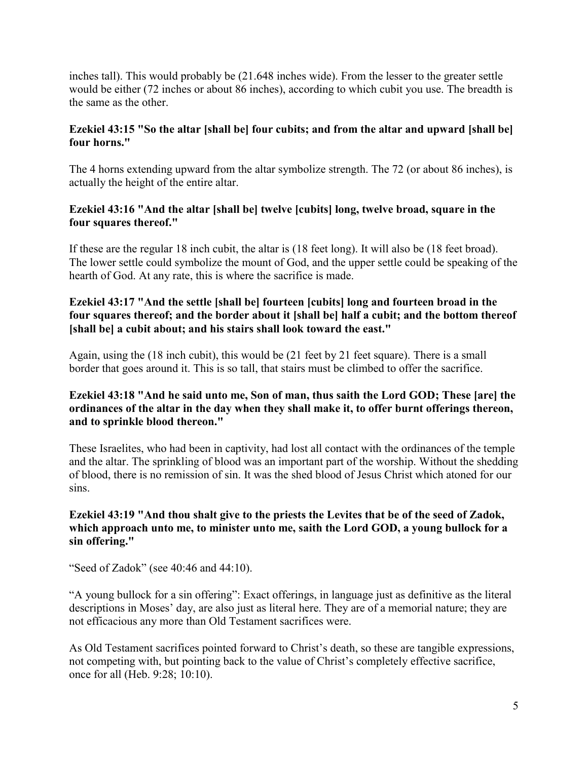inches tall). This would probably be (21.648 inches wide). From the lesser to the greater settle would be either (72 inches or about 86 inches), according to which cubit you use. The breadth is the same as the other.

# **Ezekiel 43:15 "So the altar [shall be] four cubits; and from the altar and upward [shall be] four horns."**

The 4 horns extending upward from the altar symbolize strength. The 72 (or about 86 inches), is actually the height of the entire altar.

# **Ezekiel 43:16 "And the altar [shall be] twelve [cubits] long, twelve broad, square in the four squares thereof."**

If these are the regular 18 inch cubit, the altar is (18 feet long). It will also be (18 feet broad). The lower settle could symbolize the mount of God, and the upper settle could be speaking of the hearth of God. At any rate, this is where the sacrifice is made.

# **Ezekiel 43:17 "And the settle [shall be] fourteen [cubits] long and fourteen broad in the four squares thereof; and the border about it [shall be] half a cubit; and the bottom thereof [shall be] a cubit about; and his stairs shall look toward the east."**

Again, using the (18 inch cubit), this would be (21 feet by 21 feet square). There is a small border that goes around it. This is so tall, that stairs must be climbed to offer the sacrifice.

# **Ezekiel 43:18 "And he said unto me, Son of man, thus saith the Lord GOD; These [are] the ordinances of the altar in the day when they shall make it, to offer burnt offerings thereon, and to sprinkle blood thereon."**

These Israelites, who had been in captivity, had lost all contact with the ordinances of the temple and the altar. The sprinkling of blood was an important part of the worship. Without the shedding of blood, there is no remission of sin. It was the shed blood of Jesus Christ which atoned for our sins.

#### **Ezekiel 43:19 "And thou shalt give to the priests the Levites that be of the seed of Zadok, which approach unto me, to minister unto me, saith the Lord GOD, a young bullock for a sin offering."**

"Seed of Zadok" (see 40:46 and 44:10).

"A young bullock for a sin offering": Exact offerings, in language just as definitive as the literal descriptions in Moses' day, are also just as literal here. They are of a memorial nature; they are not efficacious any more than Old Testament sacrifices were.

As Old Testament sacrifices pointed forward to Christ's death, so these are tangible expressions, not competing with, but pointing back to the value of Christ's completely effective sacrifice, once for all (Heb. 9:28; 10:10).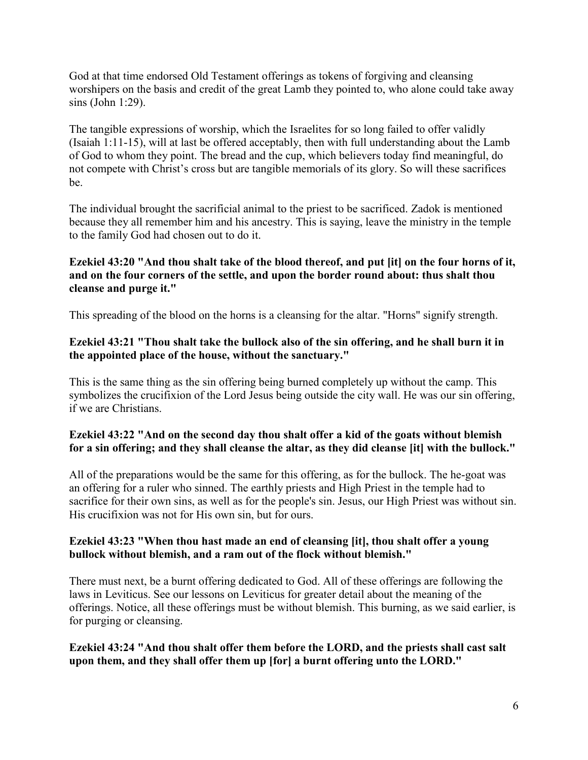God at that time endorsed Old Testament offerings as tokens of forgiving and cleansing worshipers on the basis and credit of the great Lamb they pointed to, who alone could take away sins (John 1:29).

The tangible expressions of worship, which the Israelites for so long failed to offer validly (Isaiah 1:11-15), will at last be offered acceptably, then with full understanding about the Lamb of God to whom they point. The bread and the cup, which believers today find meaningful, do not compete with Christ's cross but are tangible memorials of its glory. So will these sacrifices be.

The individual brought the sacrificial animal to the priest to be sacrificed. Zadok is mentioned because they all remember him and his ancestry. This is saying, leave the ministry in the temple to the family God had chosen out to do it.

## **Ezekiel 43:20 "And thou shalt take of the blood thereof, and put [it] on the four horns of it, and on the four corners of the settle, and upon the border round about: thus shalt thou cleanse and purge it."**

This spreading of the blood on the horns is a cleansing for the altar. "Horns" signify strength.

## **Ezekiel 43:21 "Thou shalt take the bullock also of the sin offering, and he shall burn it in the appointed place of the house, without the sanctuary."**

This is the same thing as the sin offering being burned completely up without the camp. This symbolizes the crucifixion of the Lord Jesus being outside the city wall. He was our sin offering, if we are Christians.

## **Ezekiel 43:22 "And on the second day thou shalt offer a kid of the goats without blemish for a sin offering; and they shall cleanse the altar, as they did cleanse [it] with the bullock."**

All of the preparations would be the same for this offering, as for the bullock. The he-goat was an offering for a ruler who sinned. The earthly priests and High Priest in the temple had to sacrifice for their own sins, as well as for the people's sin. Jesus, our High Priest was without sin. His crucifixion was not for His own sin, but for ours.

## **Ezekiel 43:23 "When thou hast made an end of cleansing [it], thou shalt offer a young bullock without blemish, and a ram out of the flock without blemish."**

There must next, be a burnt offering dedicated to God. All of these offerings are following the laws in Leviticus. See our lessons on Leviticus for greater detail about the meaning of the offerings. Notice, all these offerings must be without blemish. This burning, as we said earlier, is for purging or cleansing.

## **Ezekiel 43:24 "And thou shalt offer them before the LORD, and the priests shall cast salt upon them, and they shall offer them up [for] a burnt offering unto the LORD."**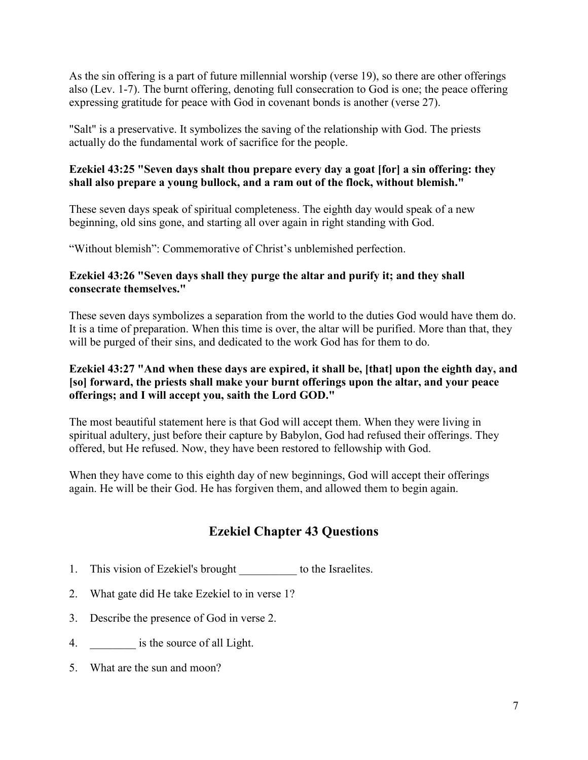As the sin offering is a part of future millennial worship (verse 19), so there are other offerings also (Lev. 1-7). The burnt offering, denoting full consecration to God is one; the peace offering expressing gratitude for peace with God in covenant bonds is another (verse 27).

"Salt" is a preservative. It symbolizes the saving of the relationship with God. The priests actually do the fundamental work of sacrifice for the people.

# **Ezekiel 43:25 "Seven days shalt thou prepare every day a goat [for] a sin offering: they shall also prepare a young bullock, and a ram out of the flock, without blemish."**

These seven days speak of spiritual completeness. The eighth day would speak of a new beginning, old sins gone, and starting all over again in right standing with God.

"Without blemish": Commemorative of Christ's unblemished perfection.

# **Ezekiel 43:26 "Seven days shall they purge the altar and purify it; and they shall consecrate themselves."**

These seven days symbolizes a separation from the world to the duties God would have them do. It is a time of preparation. When this time is over, the altar will be purified. More than that, they will be purged of their sins, and dedicated to the work God has for them to do.

## **Ezekiel 43:27 "And when these days are expired, it shall be, [that] upon the eighth day, and [so] forward, the priests shall make your burnt offerings upon the altar, and your peace offerings; and I will accept you, saith the Lord GOD."**

The most beautiful statement here is that God will accept them. When they were living in spiritual adultery, just before their capture by Babylon, God had refused their offerings. They offered, but He refused. Now, they have been restored to fellowship with God.

When they have come to this eighth day of new beginnings, God will accept their offerings again. He will be their God. He has forgiven them, and allowed them to begin again.

# **Ezekiel Chapter 43 Questions**

- 1. This vision of Ezekiel's brought \_\_\_\_\_\_\_\_\_\_ to the Israelites.
- 2. What gate did He take Ezekiel to in verse 1?
- 3. Describe the presence of God in verse 2.
- 4. **a** is the source of all Light.
- 5. What are the sun and moon?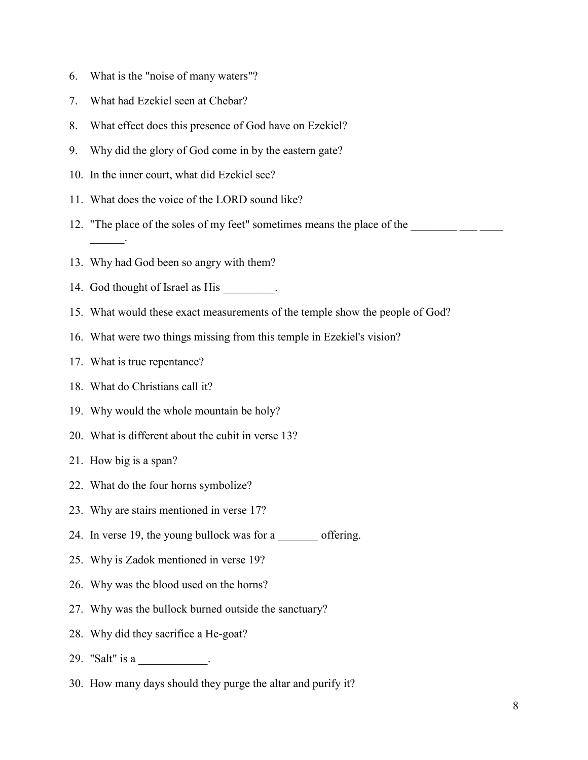- 6. What is the "noise of many waters"?
- 7. What had Ezekiel seen at Chebar?
- 8. What effect does this presence of God have on Ezekiel?
- 9. Why did the glory of God come in by the eastern gate?
- 10. In the inner court, what did Ezekiel see?
- 11. What does the voice of the LORD sound like?
- 12. "The place of the soles of my feet" sometimes means the place of the \_\_\_\_\_\_\_\_  $\overline{\phantom{a}}$  .
- 13. Why had God been so angry with them?
- 14. God thought of Israel as His \_\_\_\_\_\_\_\_.
- 15. What would these exact measurements of the temple show the people of God?
- 16. What were two things missing from this temple in Ezekiel's vision?
- 17. What is true repentance?
- 18. What do Christians call it?
- 19. Why would the whole mountain be holy?
- 20. What is different about the cubit in verse 13?
- 21. How big is a span?
- 22. What do the four horns symbolize?
- 23. Why are stairs mentioned in verse 17?
- 24. In verse 19, the young bullock was for a coffering.
- 25. Why is Zadok mentioned in verse 19?
- 26. Why was the blood used on the horns?
- 27. Why was the bullock burned outside the sanctuary?
- 28. Why did they sacrifice a He-goat?
- 29. "Salt" is a \_\_\_\_\_\_\_\_\_\_\_.
- 30. How many days should they purge the altar and purify it?